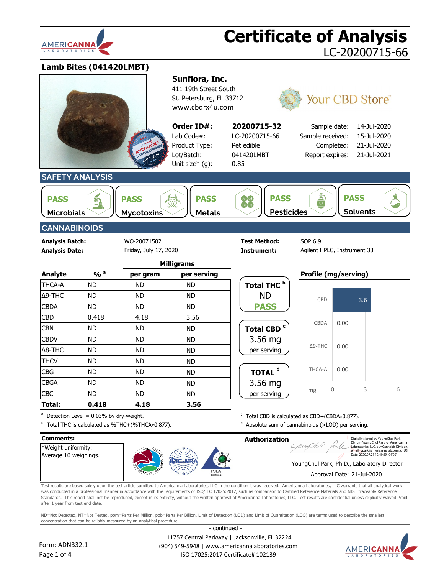

**Lamb Bites (041420LMBT)**



Test results are based solely upon the test article sumitted to Americanna Laboratories, LLC in the condition it was received. Americanna Laboratories, LLC warrants that all analytical work was conducted in a professional manner in accordance with the requirements of ISO/IEC 17025:2017, such as comparison to Certified Reference Materials and NIST traceable Reference Standards. This report shall not be reproduced, except in its entirety, without the written approval of Americanna Laboratories, LLC. Test results are confidential unless explicitly waived. Void after 1 year from test end date.

ND=Not Detected, NT=Not Tested, ppm=Parts Per Million, ppb=Parts Per Billion. Limit of Detection (LOD) and Limit of Quantitation (LOQ) are terms used to describe the smallest concentration that can be reliably measured by an analytical procedure.

Form: ADN332.1 Page 1 of 4

 11757 Central Parkway | Jacksonville, FL 32224 (904) 549-5948 | www.americannalaboratories.com ISO 17025:2017 Certificate# 102139

- continued -

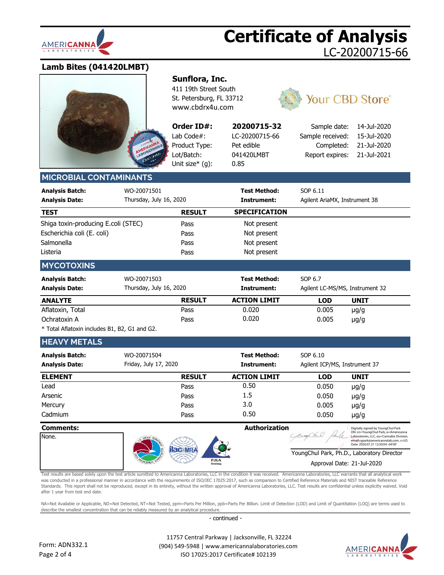

### **Lamb Bites (041420LMBT)**



### **Sunflora, Inc.**

411 19th Street South St. Petersburg, FL 33712 [www.cbdrx4u.com](http://www.cbdrx4u.com/)

**Order ID#:** Lab Code#: Product Type: Lot/Batch: Unit size\* (g):

| 20200715-32    |
|----------------|
| LC-20200715-66 |
| Pet edible     |
| 041420LMBT     |
| 0.85           |



| Sample date: 14-Jul-2020 |             |
|--------------------------|-------------|
| Sample received:         | 15-Jul-2020 |
| Completed:               | 21-Jul-2020 |
| Report expires:          | 21-Jul-2021 |
|                          |             |

### **MICROBIAL CONTAMINANT**

| <b>Analysis Batch:</b><br><b>Analysis Date:</b> | WO-20071501<br>Thursday, July 16, 2020 |               | <b>Test Method:</b><br>Instrument: | SOP 6.11<br>Agilent AriaMX, Instrument 38 |
|-------------------------------------------------|----------------------------------------|---------------|------------------------------------|-------------------------------------------|
| <b>TEST</b>                                     |                                        | <b>RESULT</b> | <b>SPECIFICATION</b>               |                                           |
| Shiga toxin-producing E.coli (STEC)             |                                        | Pass          | Not present                        |                                           |
| Escherichia coli (E. coli)                      |                                        | Pass          | Not present                        |                                           |
| Salmonella                                      |                                        | Pass          | Not present                        |                                           |
| Listeria                                        |                                        | Pass          | Not present                        |                                           |
| <b>MYCOTOXINS</b>                               |                                        |               |                                    |                                           |
| <b>Analysis Batch:</b>                          | WO-20071503                            |               | <b>Test Method:</b>                | SOP 6.7                                   |
| <b>Analysis Date:</b>                           | Thursday, July 16, 2020                |               | Instrument:                        | Agilent LC-MS/MS, Instrument 32           |

| <b>ANALYTE</b>   | <b>RESULT</b> | <b>ACTION LIMIT</b> | LOD   | <b>UNIT</b> |  |
|------------------|---------------|---------------------|-------|-------------|--|
| Aflatoxin, Total | Pass          | 0.020               | 0.005 | $\mu$ g/g   |  |
| Ochratoxin A     | Pass          | 0.020               | 0.005 | $\mu$ g/g   |  |
| .                |               |                     |       |             |  |

\* Total Aflatoxin includes B1, B2, G1 and G2.

### **HEAVY METALS**

| <b>Analysis Batch:</b><br><b>Analysis Date:</b> | WO-20071504<br>Friday, July 17, 2020 |               | <b>Test Method:</b><br>Instrument: | SOP 6.10<br>Agilent ICP/MS, Instrument 37 |             |
|-------------------------------------------------|--------------------------------------|---------------|------------------------------------|-------------------------------------------|-------------|
| <b>ELEMENT</b>                                  |                                      | <b>RESULT</b> | <b>ACTION LIMIT</b>                | <b>LOD</b>                                | <b>UNIT</b> |
| Lead                                            |                                      | Pass          | 0.50                               | 0.050                                     | $\mu$ g/g   |
| Arsenic                                         |                                      | Pass          | $1.5\,$                            | 0.050                                     | $\mu$ g/g   |
| Mercury                                         |                                      | Pass          | 3.0                                | 0.005                                     | $\mu$ g/g   |
| Cadmium                                         |                                      | Pass          | 0.50                               | 0.050                                     | $\mu$ g/g   |

### **Comments: Authorization** Digitally signed by YoungChul Park DN: cn=YoungChul Park, o=Americanna Laboratories, LLC, ou=Cannabis Division, None. email=ypark@americannalab.com, c=US Date: 2020.07.21 12:50:04 -04'00'YoungChul Park, Ph.D., Laboratory Director **PJLA** Approval Date: 21-Jul-2020

Test results are based solely upon the test article sumitted to Americanna Laboratories, LLC in the condition it was received. Americanna Laboratories, LLC warrants that all analytical work was conducted in a professional manner in accordance with the requirements of ISO/IEC 17025:2017, such as comparison to Certified Reference Materials and NIST traceable Reference Standards. This report shall not be reproduced, except in its entirety, without the written approval of Americanna Laboratories, LLC. Test results are confidential unless explicitly waived. Void after 1 year from test end date.

NA=Not Available or Applicable, ND=Not Detected, NT=Not Tested, ppm=Parts Per Million, ppb=Parts Per Billion. Limit of Detection (LOD) and Limit of Quantitation (LOQ) are terms used to describe the smallest concentration that can be reliably measured by an analytical procedure.

- continued -

 11757 Central Parkway | Jacksonville, FL 32224 (904) 549-5948 | www.americannalaboratories.com ISO 17025:2017 Certificate# 102139

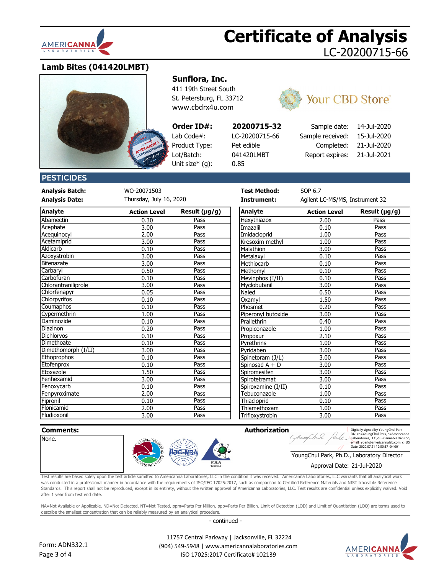

### **Lamb Bites (041420LMBT)**



### **Sunflora, Inc.**

411 19th Street South St. Petersburg, FL 33712 [www.cbdrx4u.com](http://www.cbdrx4u.com/)

0.85

### **Order ID#:**

Lab Code#: LC-20200715-66 Product Type: Pet edible Lot/Batch: 041420LMBT Unit size\* (g):



# **20200715-32** Sample date: 14-Jul-2020

Sample received Completed Report expires

| i: | 15-Jul-2020 |
|----|-------------|
| ı: | 21-Jul-2020 |
| 5: | 21-Jul-2021 |

### **PESTICIDES**

**Analysis Batch:** WO-20071503 **Test Method:** SOP 6.7

**Analysis Date: Instrument:** Agilent LC-MS/MS, Instrument 32 Thursday, July 16, 2020

| Analyte             | Action Level | Result $(\mu g/g)$ | Analyte            | <b>Action Level</b> | Result (µg/g) |
|---------------------|--------------|--------------------|--------------------|---------------------|---------------|
| Abamectin           | 0.30         | Pass               | Hexythiazox        | 2.00                | Pass          |
| Acephate            | 3.00         | Pass               | Imazalil           | 0.10                | Pass          |
| Acequinocyl         | 2.00         | Pass               | Imidacloprid       | 1.00                | Pass          |
| Acetamiprid         | 3.00         | Pass               | Kresoxim methyl    | 1.00                | Pass          |
| Aldicarb            | 0.10         | Pass               | Malathion          | 3.00                | Pass          |
| Azoxystrobin        | 3.00         | Pass               | Metalaxyl          | 0.10                | Pass          |
| Bifenazate          | 3.00         | Pass               | Methiocarb         | 0.10                | Pass          |
| Carbaryl            | 0.50         | Pass               | Methomyl           | 0.10                | Pass          |
| Carbofuran          | 0.10         | Pass               | Mevinphos (I/II)   | 0.10                | Pass          |
| Chlorantraniliprole | 3.00         | Pass               | Myclobutanil       | 3.00                | Pass          |
| Chlorfenapyr        | 0.05         | Pass               | Naled              | 0.50                | Pass          |
| Chlorpyrifos        | 0.10         | Pass               | Oxamvl             | 1.50                | Pass          |
| Coumaphos           | 0.10         | Pass               | Phosmet            | 0.20                | Pass          |
| Cypermethrin        | 1.00         | Pass               | Piperonyl butoxide | 3.00                | Pass          |
| Daminozide          | 0.10         | Pass               | Prallethrin        | 0.40                | Pass          |
| Diazinon            | 0.20         | Pass               | Propiconazole      | 1.00                | Pass          |
| <b>Dichlorvos</b>   | 0.10         | Pass               | Propoxur           | 2.10                | Pass          |
| Dimethoate          | 0.10         | Pass               | Pyrethrins         | 1.00                | Pass          |
| Dimethomorph (I/II) | 3.00         | Pass               | Pvridaben          | 3.00                | Pass          |
| Ethoprophos         | 0.10         | Pass               | Spinetoram (J/L)   | 3.00                | Pass          |
| Etofenprox          | 0.10         | Pass               | Spinosad A + D     | 3.00                | Pass          |
| Etoxazole           | 1.50         | Pass               | Spiromesifen       | 3.00                | Pass          |
| Fenhexamid          | 3.00         | Pass               | Spirotetramat      | 3.00                | Pass          |
| Fenoxycarb          | 0.10         | Pass               | Spiroxamine (I/II) | 0.10                | Pass          |
| Fenpyroximate       | 2.00         | Pass               | Tebuconazole       | 1.00                | Pass          |
| Fipronil            | 0.10         | Pass               | Thiacloprid        | 0.10                | Pass          |
| Flonicamid          | 2.00         | Pass               | Thiamethoxam       | 1.00                | Pass          |
| Fludioxonil         | 3.00         | Pass               | Trifloxystrobin    | 3.00                | Pass          |

| <b>Action Level</b> | Result $(\mu g/g)$ | Analyte            | <b>Action Level</b> | Result $(\mu g/g)$ |
|---------------------|--------------------|--------------------|---------------------|--------------------|
| 0.30                | Pass               | Hexythiazox        | 2.00                | Pass               |
| 3.00                | Pass               | Imazalil           | 0.10                | Pass               |
| 2.00                | Pass               | Imidacloprid       | 1.00                | Pass               |
| 3.00                | Pass               | Kresoxim methyl    | 1.00                | Pass               |
| 0.10                | Pass               | Malathion          | 3.00                | Pass               |
| 3.00                | Pass               | Metalaxyl          | 0.10                | Pass               |
| 3.00                | Pass               | Methiocarb         | 0.10                | Pass               |
| 0.50                | Pass               | Methomyl           | 0.10                | Pass               |
| 0.10                | Pass               | Mevinphos (I/II)   | 0.10                | Pass               |
| 3.00                | Pass               | Myclobutanil       | 3.00                | Pass               |
| 0.05                | Pass               | Naled              | 0.50                | Pass               |
| 0.10                | Pass               | Oxamyl             | 1.50                | Pass               |
| 0.10                | Pass               | Phosmet            | 0.20                | Pass               |
| 1.00                | Pass               | Piperonyl butoxide | 3.00                | Pass               |
| 0.10                | Pass               | Prallethrin        | 0.40                | Pass               |
| 0.20                | Pass               | Propiconazole      | 1.00                | Pass               |
| 0.10                | Pass               | Propoxur           | 2.10                | Pass               |
| 0.10                | Pass               | Pyrethrins         | 1.00                | Pass               |
| 3.00                | Pass               | Pyridaben          | 3.00                | Pass               |
| 0.10                | Pass               | Spinetoram (J/L)   | 3.00                | Pass               |
| 0.10                | Pass               | Spinosad A + D     | 3.00                | Pass               |
| 1.50                | Pass               | Spiromesifen       | 3.00                | Pass               |
| 3.00                | Pass               | Spirotetramat      | 3.00                | Pass               |
| 0.10                | Pass               | Spiroxamine (I/II) | 0.10                | Pass               |
| 2.00                | Pass               | Tebuconazole       | 1.00                | Pass               |
| 0.10                | Pass               | Thiacloprid        | 0.10                | Pass               |
| 2.00                | Pass               | Thiamethoxam       | 1.00                | Pass               |
| 3.00                | Pass               | Trifloxystrobin    | 3.00                | Pass               |

None.



Digitally signed by YoungChul Park DN: cn=YoungChul Park, o=Americanna Laboratories, LLC, ou=Cannabis Division, email=ypark@americannalab.com, c=US Date: 2020.07.21 12:50:37 -04'00'

### YoungChul Park, Ph.D., Laboratory Director

### Approval Date: 21-Jul-2020

Test results are based solely upon the test article sumitted to Americanna Laboratories, LLC in the condition it was received. Americanna Laboratories, LLC warrants that all analytical work was conducted in a professional manner in accordance with the requirements of ISO/IEC 17025:2017, such as comparison to Certified Reference Materials and NIST traceable Reference Standards. This report shall not be reproduced, except in its entirety, without the written approval of Americanna Laboratories, LLC. Test results are confidential unless explicitly waived. Void after 1 year from test end date.

NA=Not Available or Applicable, ND=Not Detected, NT=Not Tested, ppm=Parts Per Million, ppb=Parts Per Billion. Limit of Detection (LOD) and Limit of Quantitation (LOQ) are terms used to describe the smallest concentration that can be reliably measured by an analytical procedure.

- continued -



 11757 Central Parkway | Jacksonville, FL 32224 (904) 549-5948 | www.americannalaboratories.com ISO 17025:2017 Certificate# 102139